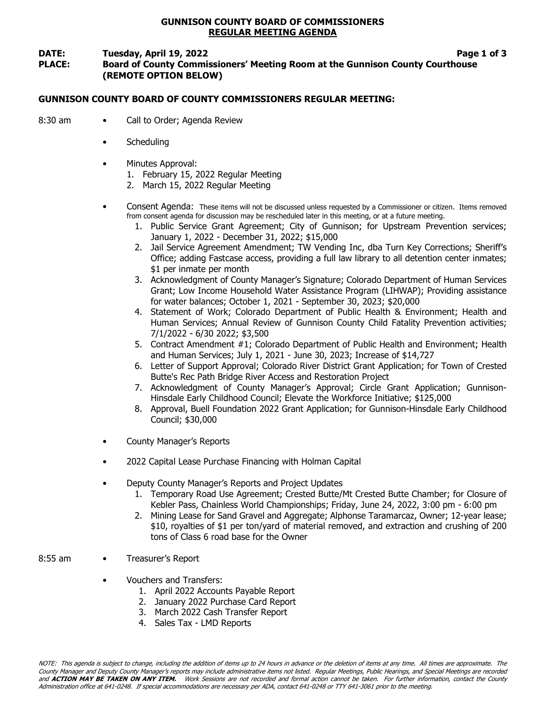### GUNNISON COUNTY BOARD OF COMMISSIONERS REGULAR MEETING AGENDA

#### DATE: Tuesday, April 19, 2022 **Page 1 of 3** PLACE: Board of County Commissioners' Meeting Room at the Gunnison County Courthouse (REMOTE OPTION BELOW)

#### GUNNISON COUNTY BOARD OF COUNTY COMMISSIONERS REGULAR MEETING:

- 8:30 am Call to Order; Agenda Review
	- **Scheduling**
	- Minutes Approval:
		- 1. February 15, 2022 Regular Meeting
		- 2. March 15, 2022 Regular Meeting
	- Consent Agenda: These items will not be discussed unless requested by a Commissioner or citizen. Items removed from consent agenda for discussion may be rescheduled later in this meeting, or at a future meeting.
		- 1. Public Service Grant Agreement; City of Gunnison; for Upstream Prevention services; January 1, 2022 - December 31, 2022; \$15,000
		- 2. Jail Service Agreement Amendment; TW Vending Inc, dba Turn Key Corrections; Sheriff's Office; adding Fastcase access, providing a full law library to all detention center inmates; \$1 per inmate per month
		- 3. Acknowledgment of County Manager's Signature; Colorado Department of Human Services Grant; Low Income Household Water Assistance Program (LIHWAP); Providing assistance for water balances; October 1, 2021 - September 30, 2023; \$20,000
		- 4. Statement of Work; Colorado Department of Public Health & Environment; Health and Human Services; Annual Review of Gunnison County Child Fatality Prevention activities; 7/1/2022 - 6/30 2022; \$3,500
		- 5. Contract Amendment #1; Colorado Department of Public Health and Environment; Health and Human Services; July 1, 2021 - June 30, 2023; Increase of \$14,727
		- 6. Letter of Support Approval; Colorado River District Grant Application; for Town of Crested Butte's Rec Path Bridge River Access and Restoration Project
		- 7. Acknowledgment of County Manager's Approval; Circle Grant Application; Gunnison-Hinsdale Early Childhood Council; Elevate the Workforce Initiative; \$125,000
		- 8. Approval, Buell Foundation 2022 Grant Application; for Gunnison-Hinsdale Early Childhood Council; \$30,000
	- County Manager's Reports
	- 2022 Capital Lease Purchase Financing with Holman Capital
	- Deputy County Manager's Reports and Project Updates
		- 1. Temporary Road Use Agreement; Crested Butte/Mt Crested Butte Chamber; for Closure of Kebler Pass, Chainless World Championships; Friday, June 24, 2022, 3:00 pm - 6:00 pm
		- 2. Mining Lease for Sand Gravel and Aggregate; Alphonse Taramarcaz, Owner; 12-year lease; \$10, royalties of \$1 per ton/yard of material removed, and extraction and crushing of 200 tons of Class 6 road base for the Owner
- 8:55 am Treasurer's Report
	- Vouchers and Transfers:
		- 1. April 2022 Accounts Payable Report
		- 2. January 2022 Purchase Card Report
		- 3. March 2022 Cash Transfer Report
		- 4. Sales Tax LMD Reports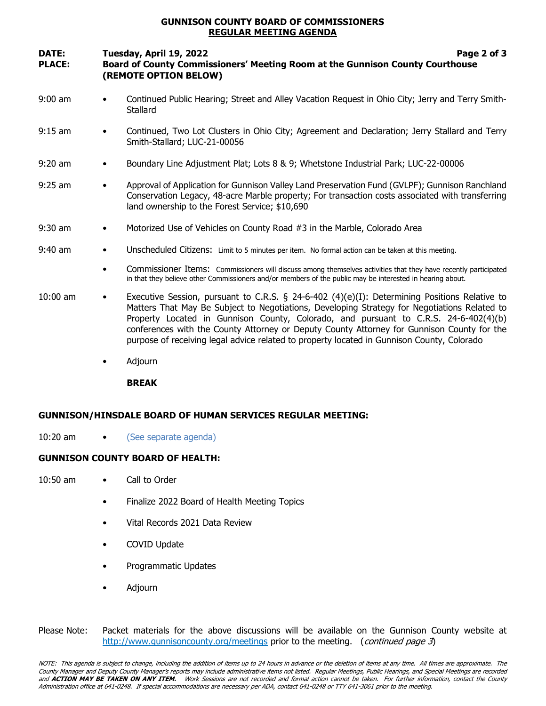#### GUNNISON COUNTY BOARD OF COMMISSIONERS REGULAR MEETING AGENDA

## DATE: Tuesday, April 19, 2022 **Page 2 of 3** PLACE: Board of County Commissioners' Meeting Room at the Gunnison County Courthouse (REMOTE OPTION BELOW)

- 9:00 am Continued Public Hearing; Street and Alley Vacation Request in Ohio City; Jerry and Terry Smith-**Stallard**
- 9:15 am Continued, Two Lot Clusters in Ohio City; Agreement and Declaration; Jerry Stallard and Terry Smith-Stallard; LUC-21-00056
- 9:20 am Boundary Line Adjustment Plat; Lots 8 & 9; Whetstone Industrial Park; LUC-22-00006
- 9:25 am Approval of Application for Gunnison Valley Land Preservation Fund (GVLPF); Gunnison Ranchland Conservation Legacy, 48-acre Marble property; For transaction costs associated with transferring land ownership to the Forest Service; \$10,690
- 9:30 am Motorized Use of Vehicles on County Road #3 in the Marble, Colorado Area
- 9:40 am Unscheduled Citizens: Limit to 5 minutes per item. No formal action can be taken at this meeting.
	- Commissioner Items: Commissioners will discuss among themselves activities that they have recently participated in that they believe other Commissioners and/or members of the public may be interested in hearing about.
- 10:00 am Executive Session, pursuant to C.R.S. § 24-6-402 (4)(e)(I): Determining Positions Relative to Matters That May Be Subject to Negotiations, Developing Strategy for Negotiations Related to Property Located in Gunnison County, Colorado, and pursuant to C.R.S. 24-6-402(4)(b) conferences with the County Attorney or Deputy County Attorney for Gunnison County for the purpose of receiving legal advice related to property located in Gunnison County, Colorado
	- Adjourn

BREAK

#### GUNNISON/HINSDALE BOARD OF HUMAN SERVICES REGULAR MEETING:

10:20 am • (See separate agenda)

#### GUNNISON COUNTY BOARD OF HEALTH:

- 10:50 am Call to Order
	- Finalize 2022 Board of Health Meeting Topics
	- Vital Records 2021 Data Review
	- COVID Update
	- Programmatic Updates
	- Adjourn
- Please Note: Packet materials for the above discussions will be available on the Gunnison County website at http://www.gunnisoncounty.org/meetings prior to the meeting. (continued page 3)